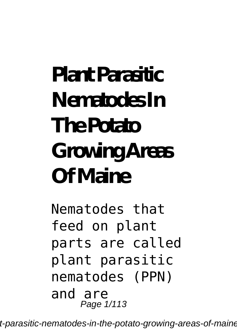# **Plant Parasitic Nematodes In The Potato Growing Areas Of Maine**

Nematodes that feed on plant parts are called plant parasitic nematodes (PPN) and are Page  $1/113$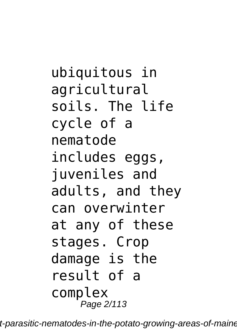ubiquitous in agricultural soils. The life cycle of a nematode includes eggs, juveniles and adults, and they can overwinter at any of these stages. Crop damage is the result of a complex Page 2/113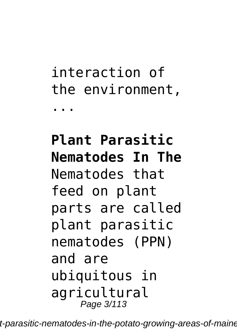## interaction of the environment, ...

### **Plant Parasitic Nematodes In The** Nematodes that feed on plant parts are called plant parasitic nematodes (PPN) and are ubiquitous in agricultural Page 3/113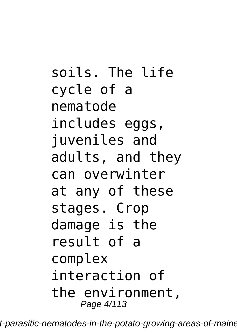soils. The life cycle of a nematode includes eggs, juveniles and adults, and they can overwinter at any of these stages. Crop damage is the result of a complex interaction of the environment, Page 4/113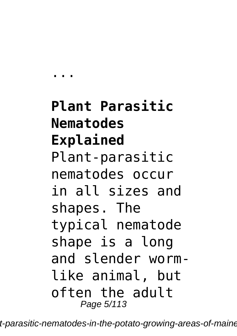**Plant Parasitic Nematodes Explained** Plant-parasitic nematodes occur in all sizes and shapes. The typical nematode shape is a long and slender wormlike animal, but often the adult Page 5/113

...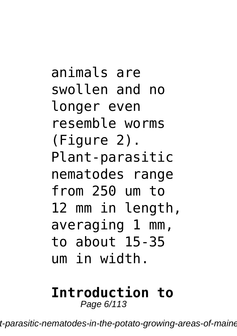animals are swollen and no longer even resemble worms (Figure 2). Plant-parasitic nematodes range from 250 um to 12 mm in length, averaging 1 mm, to about 15-35 um in width.

# **Introduction to**

Page 6/113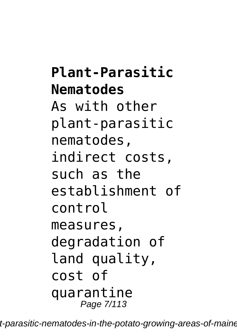#### **Plant-Parasitic Nematodes**

As with other plant‐parasitic nematodes, indirect costs, such as the establishment of control measures, degradation of land quality, cost of quarantine Page 7/113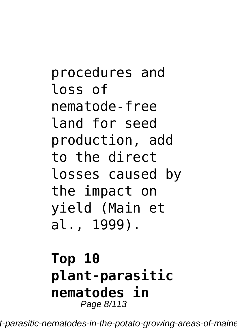procedures and loss of nematode‐free land for seed production, add to the direct losses caused by the impact on yield (Main et al., 1999).

#### **Top 10 plant‐parasitic nematodes in** Page 8/113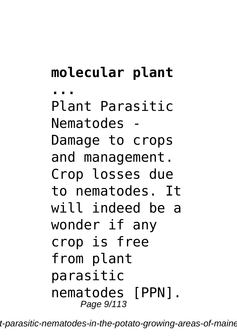# **molecular plant**

**...** Plant Parasitic Nematodes - Damage to crops and management. Crop losses due to nematodes. It will indeed be a wonder if any crop is free from plant parasitic nematodes [PPN]. Page 9/113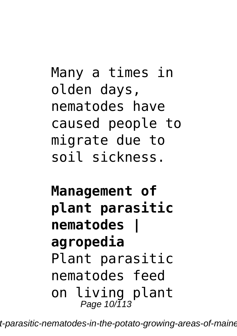Many a times in olden days, nematodes have caused people to migrate due to soil sickness.

**Management of plant parasitic nematodes | agropedia** Plant parasitic nematodes feed on living plant Page 10/113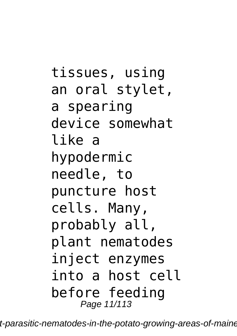tissues, using an oral stylet, a spearing device somewhat like a hypodermic needle, to puncture host cells. Many, probably all, plant nematodes inject enzymes into a host cell before feeding Page 11/113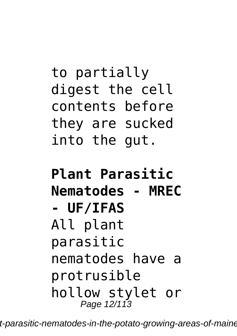## to partially digest the cell contents before they are sucked into the gut.

#### **Plant Parasitic Nematodes - MREC - UF/IFAS** All plant parasitic nematodes have a protrusible hollow stylet or Page 12/113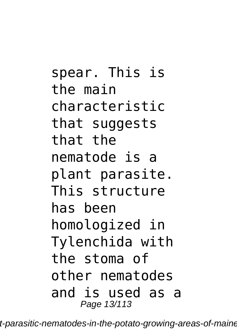spear. This is the main characteristic that suggests that the nematode is a plant parasite. This structure has been homologized in Tylenchida with the stoma of other nematodes and is used as a Page 13/113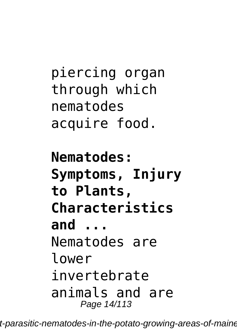piercing organ through which nematodes acquire food.

**Nematodes: Symptoms, Injury to Plants, Characteristics and ...** Nematodes are lower invertebrate animals and are Page 14/113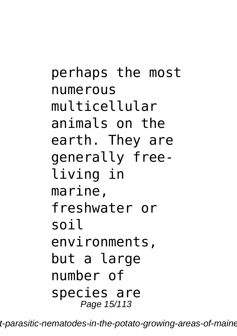perhaps the most numerous multicellular animals on the earth. They are generally freeliving in marine, freshwater or soil environments, but a large number of species are Page 15/113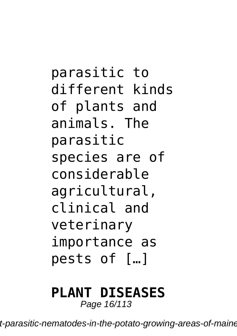parasitic to different kinds of plants and animals. The parasitic species are of considerable agricultural, clinical and veterinary importance as pests of […]

# **PLANT DISEASES**

Page 16/113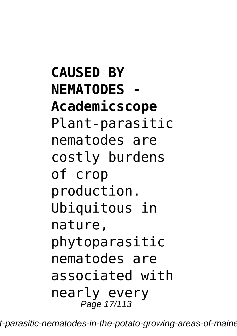**CAUSED BY NEMATODES - Academicscope** Plant-parasitic nematodes are costly burdens of crop production. Ubiquitous in nature, phytoparasitic nematodes are associated with nearly every Page 17/113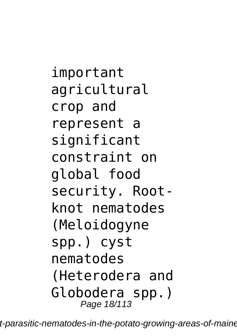important agricultural crop and represent a significant constraint on global food security. Rootknot nematodes (Meloidogyne spp.) cyst nematodes (Heterodera and Globodera spp.) Page 18/113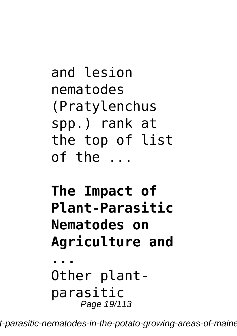```
and lesion
nematodes
(Pratylenchus
spp.) rank at
the top of list
of the ...
```
# **The Impact of Plant-Parasitic Nematodes on Agriculture and**

**...** Other plantparasitic Page 19/113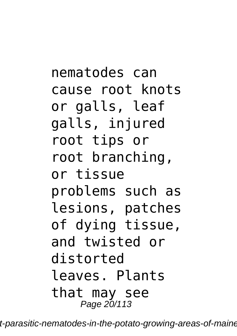nematodes can cause root knots or galls, leaf galls, injured root tips or root branching, or tissue problems such as lesions, patches of dying tissue, and twisted or distorted leaves. Plants that may see Page 20/113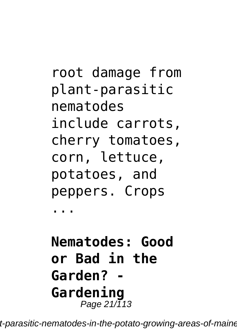root damage from plant-parasitic nematodes include carrots, cherry tomatoes, corn, lettuce, potatoes, and peppers. Crops

...

**Nematodes: Good or Bad in the Garden? - Gardening** Page  $21/\overline{1}13$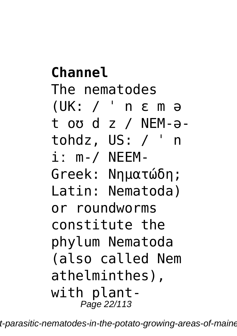**Channel** The nematodes (UK: / ˈ n ɛ m ə t oʊ d z / NEM-ətohdz, US: / ˈ n iː m-/ NEEM-Greek: Νηματώδη; Latin: Nematoda) or roundworms constitute the phylum Nematoda (also called Nem athelminthes), with plant-Page 22/113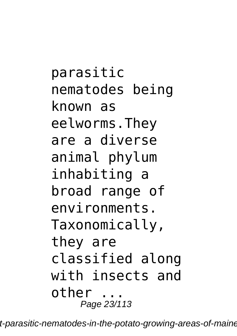parasitic nematodes being known as eelworms.They are a diverse animal phylum inhabiting a broad range of environments. Taxonomically, they are classified along with insects and other ... Page 23/113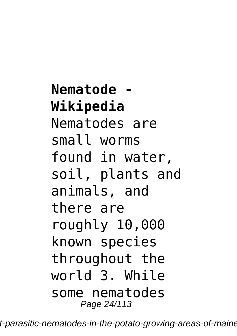**Nematode - Wikipedia** Nematodes are small worms found in water, soil, plants and animals, and there are roughly 10,000 known species throughout the world 3. While some nematodes Page 24/113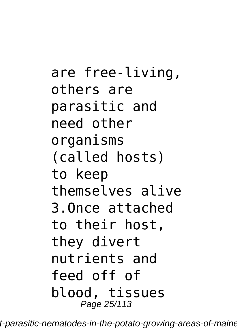are free-living, others are parasitic and need other organisms (called hosts) to keep themselves alive 3.Once attached to their host, they divert nutrients and feed off of blood, tissues Page 25/113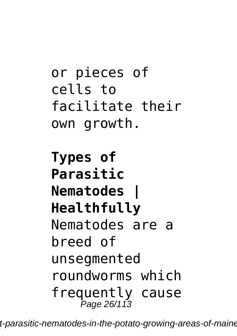```
or pieces of
cells to
facilitate their
own growth.
```
**Types of Parasitic Nematodes | Healthfully** Nematodes are a breed of unsegmented roundworms which frequently cause Page 26/113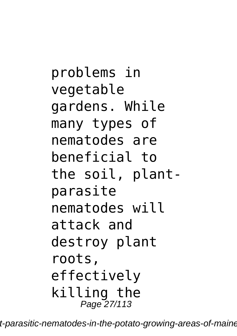problems in vegetable gardens. While many types of nematodes are beneficial to the soil, plantparasite nematodes will attack and destroy plant roots, effectively killing the Page 27/113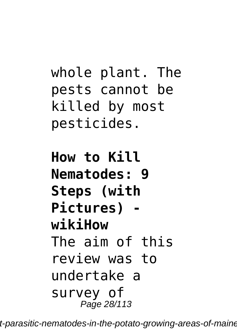whole plant. The pests cannot be killed by most pesticides.

**How to Kill Nematodes: 9 Steps (with Pictures) wikiHow** The aim of this review was to undertake a survey of Page 28/113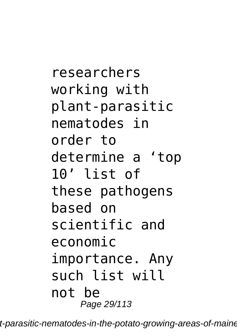researchers working with plant‐parasitic nematodes in order to determine a 'top 10' list of these pathogens based on scientific and economic importance. Any such list will not be Page 29/113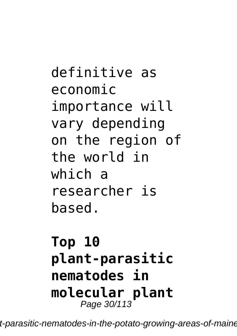definitive as economic importance will vary depending on the region of the world in which a researcher is based.

#### **Top 10 plant‐parasitic nematodes in molecular plant** Page 30/113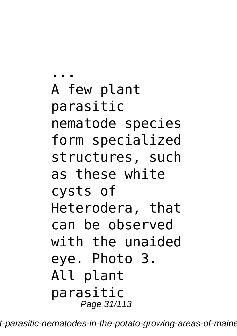**...** A few plant parasitic nematode species form specialized structures, such as these white cysts of Heterodera, that can be observed with the unaided eye. Photo 3. All plant parasitic Page 31/113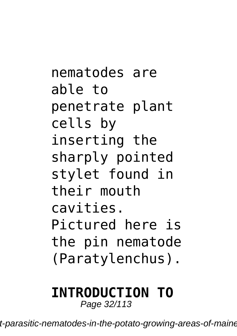nematodes are able to penetrate plant cells by inserting the sharply pointed stylet found in their mouth cavities. Pictured here is the pin nematode (Paratylenchus).

# **INTRODUCTION TO**

Page 32/113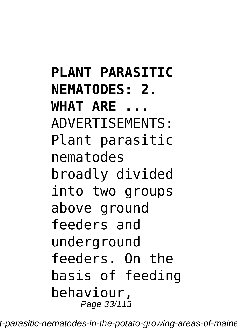**PLANT PARASITIC NEMATODES: 2. WHAT ARE ...** ADVERTISEMENTS: Plant parasitic nematodes broadly divided into two groups above ground feeders and underground feeders. On the basis of feeding behaviour, Page 33/113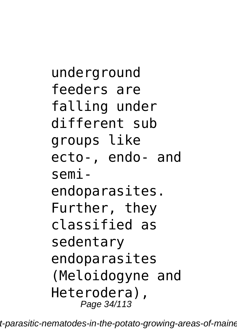```
underground
feeders are
falling under
different sub
groups like
ecto-, endo- and
semi-
endoparasites.
Further, they
classified as
sedentary
endoparasites
(Meloidogyne and
Heterodera),
    Page 34/113
```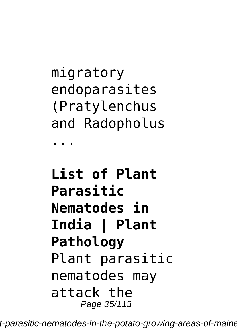migratory endoparasites (Pratylenchus and Radopholus

...

### **List of Plant Parasitic Nematodes in India | Plant Pathology** Plant parasitic nematodes may attack the Page 35/113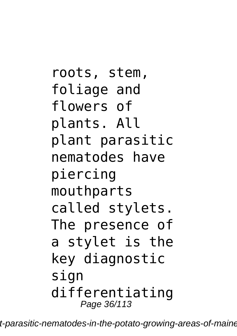roots, stem, foliage and flowers of plants. All plant parasitic nematodes have piercing mouthparts called stylets. The presence of a stylet is the key diagnostic sign differentiating Page 36/113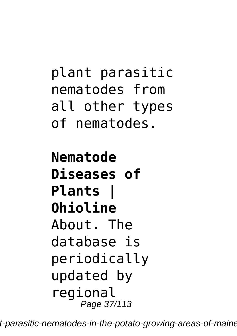```
plant parasitic
nematodes from
all other types
of nematodes.
```
**Nematode Diseases of Plants | Ohioline** About. The database is periodically updated by regional Page 37/113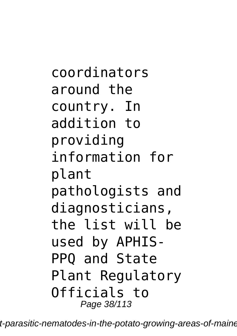coordinators around the country. In addition to providing information for plant pathologists and diagnosticians, the list will be used by APHIS-PPQ and State Plant Regulatory Officials to Page 38/113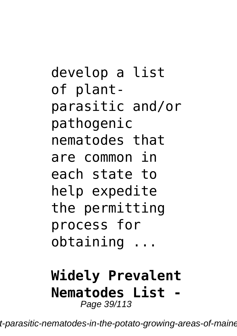develop a list of plantparasitic and/or pathogenic nematodes that are common in each state to help expedite the permitting process for obtaining ...

#### **Widely Prevalent Nematodes List -** Page 39/113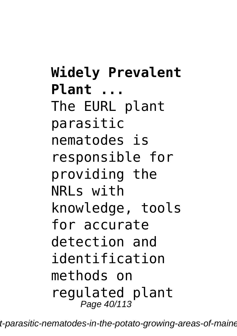**Widely Prevalent Plant ...** The EURL plant parasitic nematodes is responsible for providing the NRLs with knowledge, tools for accurate detection and identification methods on regulated plant Page 40/113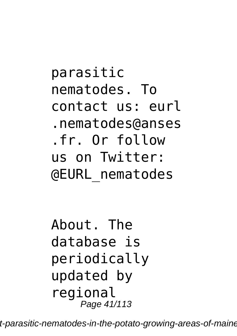parasitic nematodes. To contact us: eurl .nematodes@anses .fr. Or follow us on Twitter: @EURL\_nematodes

About. The database is periodically updated by regional Page 41/113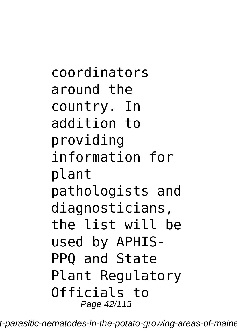coordinators around the country. In addition to providing information for plant pathologists and diagnosticians, the list will be used by APHIS-PPQ and State Plant Regulatory Officials to Page 42/113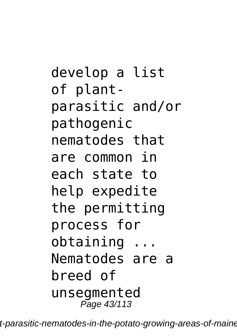develop a list of plantparasitic and/or pathogenic nematodes that are common in each state to help expedite the permitting process for obtaining ... Nematodes are a breed of unsegmented Page 43/113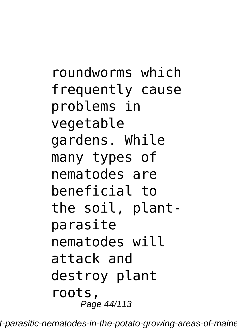roundworms which frequently cause problems in vegetable gardens. While many types of nematodes are beneficial to the soil, plantparasite nematodes will attack and destroy plant roots, Page 44/113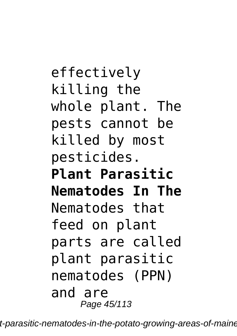effectively killing the whole plant. The pests cannot be killed by most pesticides. **Plant Parasitic Nematodes In The** Nematodes that feed on plant parts are called plant parasitic nematodes (PPN) and are Page 45/113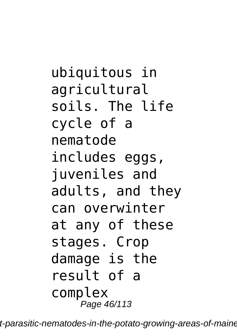ubiquitous in agricultural soils. The life cycle of a nematode includes eggs, juveniles and adults, and they can overwinter at any of these stages. Crop damage is the result of a complex Page 46/113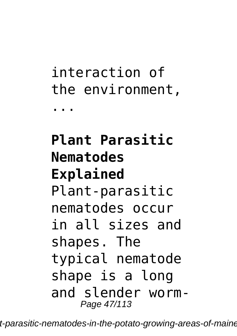# interaction of the environment, ...

## **Plant Parasitic Nematodes Explained** Plant-parasitic nematodes occur in all sizes and shapes. The typical nematode shape is a long and slender worm-Page 47/113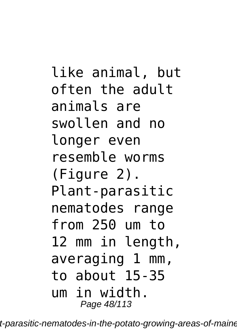like animal, but often the adult animals are swollen and no longer even resemble worms (Figure 2). Plant-parasitic nematodes range from 250 um to 12 mm in length, averaging 1 mm, to about 15-35 um in width. Page 48/113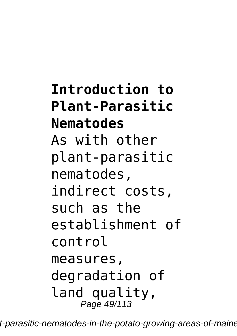**Introduction to Plant-Parasitic Nematodes** As with other plant‐parasitic nematodes, indirect costs, such as the establishment of control measures, degradation of land quality, Page 49/113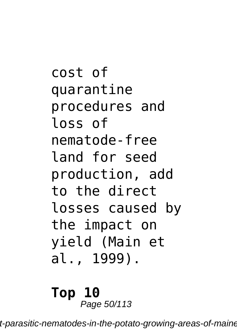cost of quarantine procedures and loss of nematode‐free land for seed production, add to the direct losses caused by the impact on yield (Main et al., 1999).

**Top 10** Page 50/113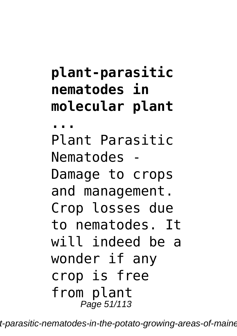**plant‐parasitic nematodes in molecular plant ...** Plant Parasitic Nematodes - Damage to crops and management. Crop losses due to nematodes. It will indeed be a wonder if any crop is free from plant Page 51/113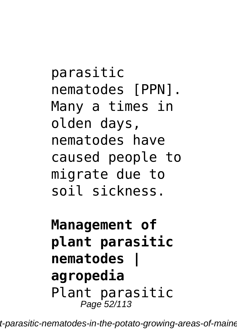parasitic nematodes [PPN]. Many a times in olden days, nematodes have caused people to migrate due to soil sickness.

**Management of plant parasitic nematodes | agropedia** Plant parasitic Page 52/113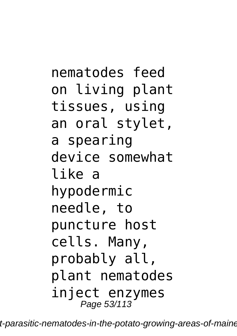nematodes feed on living plant tissues, using an oral stylet, a spearing device somewhat like a hypodermic needle, to puncture host cells. Many, probably all, plant nematodes inject enzymes Page 53/113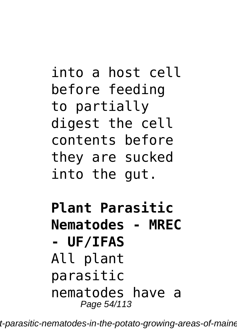into a host cell before feeding to partially digest the cell contents before they are sucked into the gut.

**Plant Parasitic Nematodes - MREC - UF/IFAS** All plant parasitic nematodes have a Page 54/113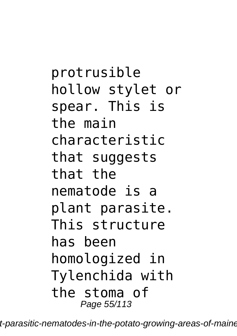protrusible hollow stylet or spear. This is the main characteristic that suggests that the nematode is a plant parasite. This structure has been homologized in Tylenchida with the stoma of Page 55/113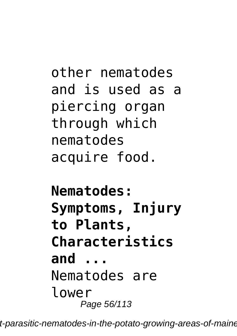other nematodes and is used as a piercing organ through which nematodes acquire food.

**Nematodes: Symptoms, Injury to Plants, Characteristics and ...** Nematodes are lower Page 56/113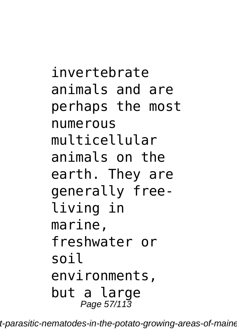invertebrate animals and are perhaps the most numerous multicellular animals on the earth. They are generally freeliving in marine, freshwater or soil environments, but a large Page 57/113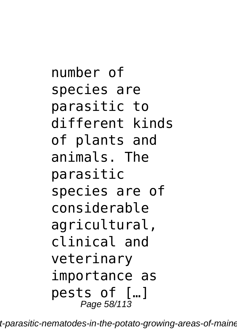number of species are parasitic to different kinds of plants and animals. The parasitic species are of considerable agricultural, clinical and veterinary importance as pests of […] Page 58/113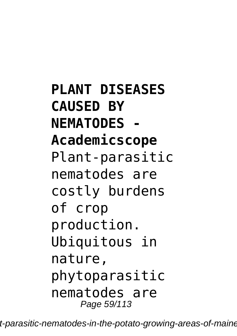**PLANT DISEASES CAUSED BY NEMATODES - Academicscope** Plant-parasitic nematodes are costly burdens of crop production. Ubiquitous in nature, phytoparasitic nematodes are Page 59/113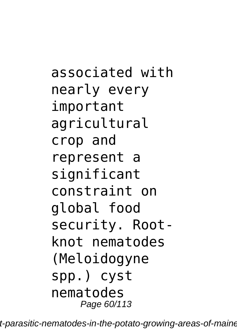associated with nearly every important agricultural crop and represent a significant constraint on global food security. Rootknot nematodes (Meloidogyne spp.) cyst nematodes Page 60/113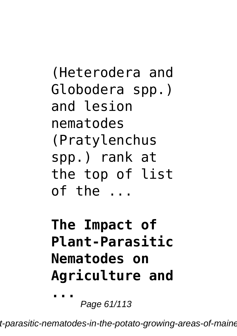(Heterodera and Globodera spp.) and lesion nematodes (Pratylenchus spp.) rank at the top of list  $of the$ ...

# **The Impact of Plant-Parasitic Nematodes on Agriculture and**

Page 61/113

**...**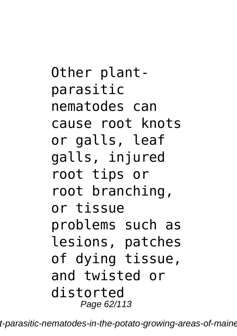Other plantparasitic nematodes can cause root knots or galls, leaf galls, injured root tips or root branching, or tissue problems such as lesions, patches of dying tissue, and twisted or distorted Page 62/113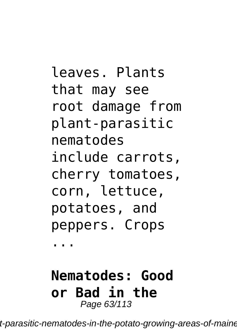leaves. Plants that may see root damage from plant-parasitic nematodes include carrots, cherry tomatoes, corn, lettuce, potatoes, and peppers. Crops ...

### **Nematodes: Good or Bad in the** Page 63/113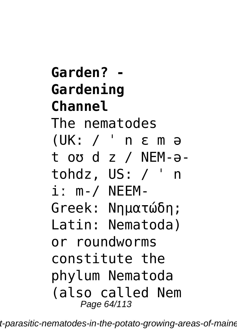**Garden? - Gardening Channel** The nematodes (UK: / ˈ n ɛ m ə t oʊ d z / NEM-ətohdz, US: / ˈ n iː m-/ NEEM-Greek: Νηματώδη; Latin: Nematoda) or roundworms constitute the phylum Nematoda (also called Nem Page 64/113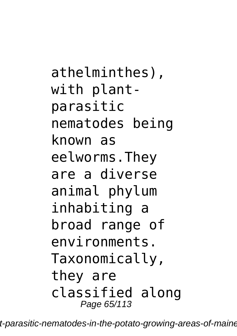athelminthes), with plantparasitic nematodes being known as eelworms.They are a diverse animal phylum inhabiting a broad range of environments. Taxonomically, they are classified along Page 65/113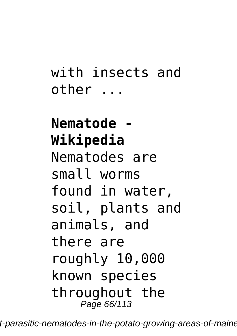## with insects and other ...

## **Nematode - Wikipedia** Nematodes are small worms found in water, soil, plants and animals, and there are roughly 10,000 known species throughout the Page 66/113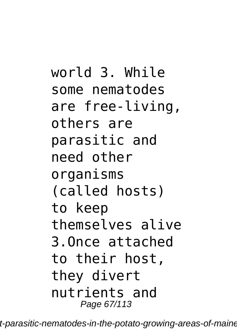world 3. While some nematodes are free-living, others are parasitic and need other organisms (called hosts) to keep themselves alive 3.Once attached to their host, they divert nutrients and Page 67/113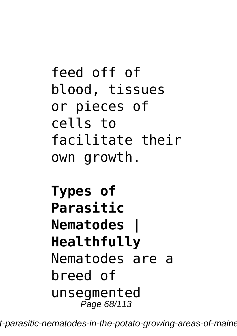feed off of blood, tissues or pieces of cells to facilitate their own growth.

**Types of Parasitic Nematodes | Healthfully** Nematodes are a breed of unsegmented Page 68/113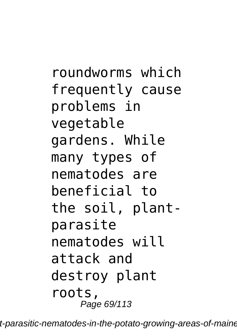roundworms which frequently cause problems in vegetable gardens. While many types of nematodes are beneficial to the soil, plantparasite nematodes will attack and destroy plant roots, Page 69/113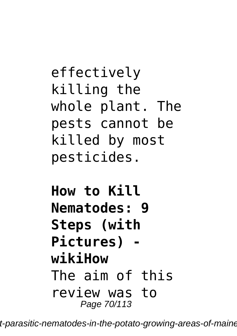effectively killing the whole plant. The pests cannot be killed by most pesticides.

**How to Kill Nematodes: 9 Steps (with Pictures) wikiHow** The aim of this review was to Page 70/113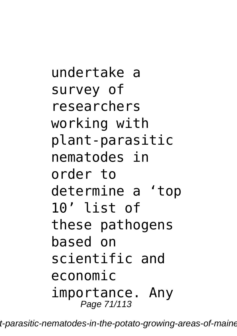undertake a survey of researchers working with plant‐parasitic nematodes in order to determine a 'top 10' list of these pathogens based on scientific and economic importance. Any Page 71/113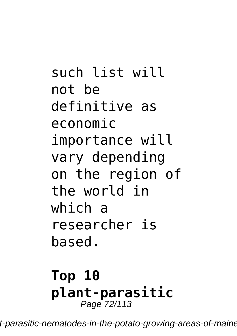such list will not be definitive as economic importance will vary depending on the region of the world in which a researcher is based.

### **Top 10 plant‐parasitic** Page 72/113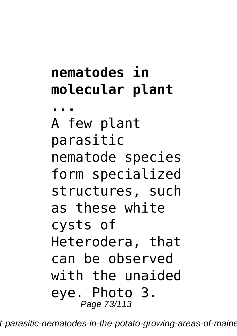## **nematodes in molecular plant**

**...** A few plant parasitic nematode species form specialized structures, such as these white cysts of Heterodera, that can be observed with the unaided eye. Photo 3. Page 73/113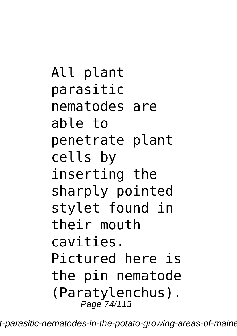All plant parasitic nematodes are able to penetrate plant cells by inserting the sharply pointed stylet found in their mouth cavities. Pictured here is the pin nematode (Paratylenchus). Page 74/113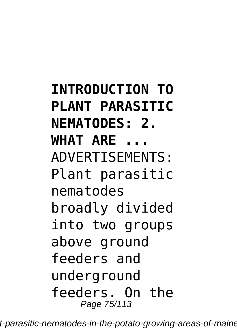**INTRODUCTION TO PLANT PARASITIC NEMATODES: 2. WHAT ARE ...** ADVERTISEMENTS: Plant parasitic nematodes broadly divided into two groups above ground feeders and underground feeders. On the Page 75/113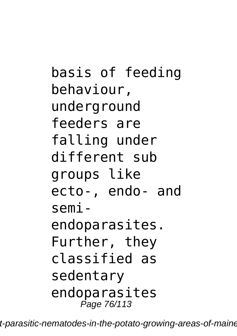basis of feeding behaviour, underground feeders are falling under different sub groups like ecto-, endo- and semiendoparasites. Further, they classified as sedentary endoparasites Page 76/113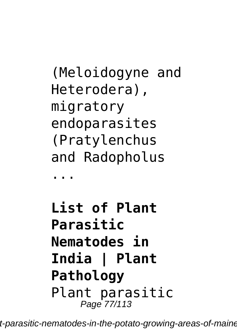(Meloidogyne and Heterodera), migratory endoparasites (Pratylenchus and Radopholus

...

**List of Plant Parasitic Nematodes in India | Plant Pathology** Plant parasitic Page 77/113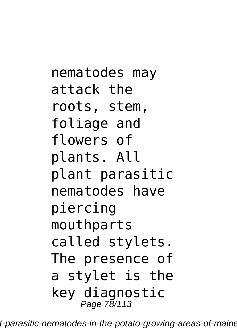nematodes may attack the roots, stem, foliage and flowers of plants. All plant parasitic nematodes have piercing mouthparts called stylets. The presence of a stylet is the key diagnostic Page 78/113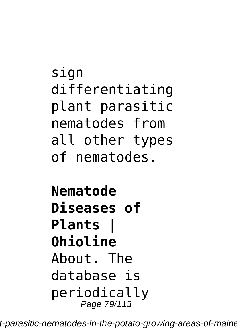sign differentiating plant parasitic nematodes from all other types of nematodes.

**Nematode Diseases of Plants | Ohioline** About. The database is periodically Page 79/113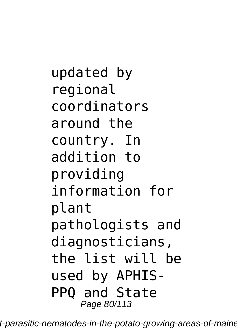updated by regional coordinators around the country. In addition to providing information for plant pathologists and diagnosticians, the list will be used by APHIS-PPQ and State Page 80/113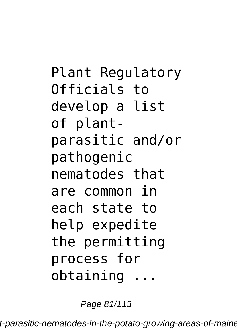Plant Regulatory Officials to develop a list of plantparasitic and/or pathogenic nematodes that are common in each state to help expedite the permitting process for obtaining ...

Page 81/113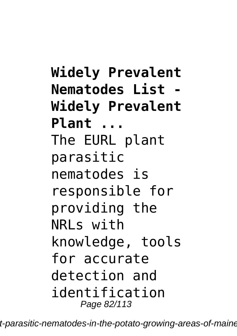**Widely Prevalent Nematodes List - Widely Prevalent Plant ...** The EURL plant parasitic nematodes is responsible for providing the NRLs with knowledge, tools for accurate detection and identification Page 82/113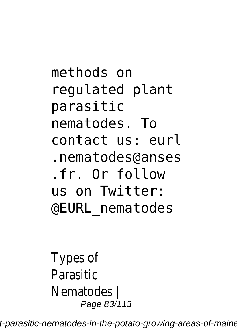methods on regulated plant parasitic nematodes. To contact us: eurl .nematodes@anses .fr. Or follow us on Twitter: @EURL\_nematodes

Types of Parasitic Nematodes | Page 83/113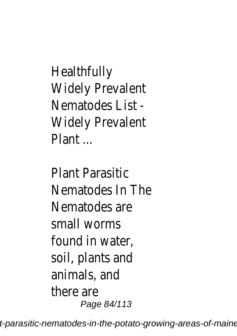**Healthfully** Widely Prevalent Nematodes List - Widely Prevalent Plant ...

Plant Parasitic Nematodes In The Nematodes are small worms found in water, soil, plants and animals, and there are Page 84/113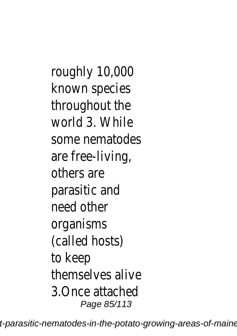roughly 10,000 known species throughout the world 3. While some nematodes are free-living, others are parasitic and need other organisms (called hosts) to keep themselves alive 3.Once attached Page 85/113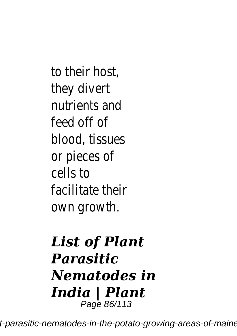to their host, they divert nutrients and feed off of blood, tissues or pieces of cells to facilitate their own growth.

#### *List of Plant Parasitic Nematodes in India | Plant* Page 86/113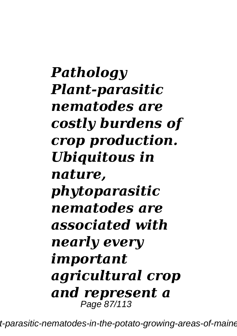*Pathology Plant-parasitic nematodes are costly burdens of crop production. Ubiquitous in nature, phytoparasitic nematodes are associated with nearly every important agricultural crop and represent a* Page 87/113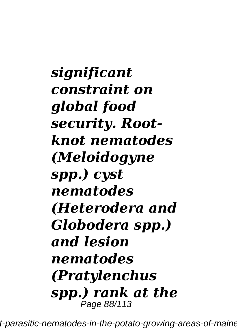*significant constraint on global food security. Rootknot nematodes (Meloidogyne spp.) cyst nematodes (Heterodera and Globodera spp.) and lesion nematodes (Pratylenchus spp.) rank at the* Page 88/113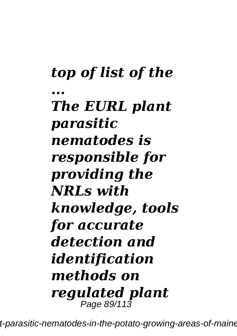*top of list of the ... The EURL plant parasitic nematodes is responsible for providing the NRLs with knowledge, tools for accurate detection and identification methods on regulated plant* Page 89/113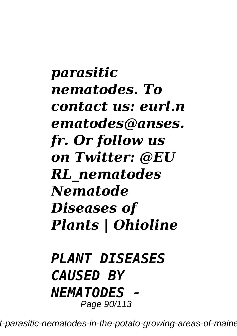*parasitic nematodes. To contact us: eurl.n ematodes@anses. fr. Or follow us on Twitter: @EU RL\_nematodes Nematode Diseases of Plants | Ohioline*

#### *PLANT DISEASES CAUSED BY NEMATODES -* Page 90/113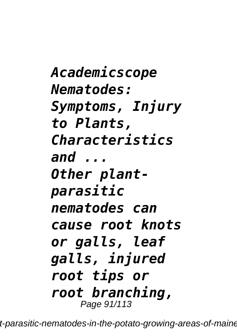*Academicscope Nematodes: Symptoms, Injury to Plants, Characteristics and ... Other plantparasitic nematodes can cause root knots or galls, leaf galls, injured root tips or root branching,* Page 91/113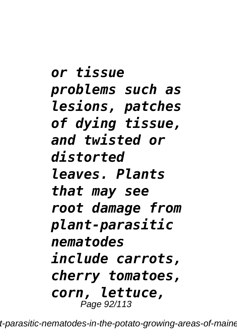*or tissue problems such as lesions, patches of dying tissue, and twisted or distorted leaves. Plants that may see root damage from plant-parasitic nematodes include carrots, cherry tomatoes, corn, lettuce,* Page 92/113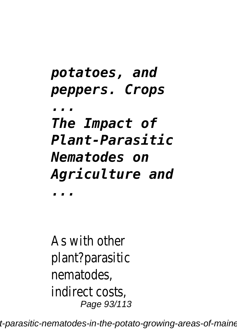*potatoes, and peppers. Crops ... The Impact of Plant-Parasitic Nematodes on Agriculture and ...*

As with other plant?parasitic nematodes, indirect costs, Page 93/113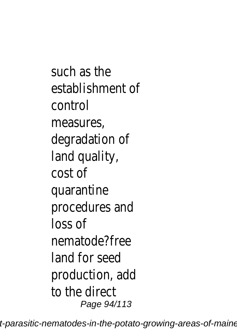such as the establishment of control measures, degradation of land quality, cost of quarantine procedures and loss of nematode?free land for seed production, add to the direct Page 94/113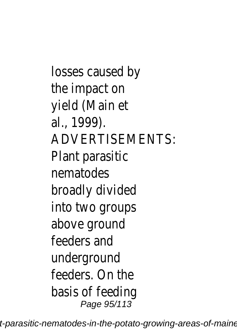losses caused by the impact on yield (Main et al., 1999). ADVERTISEMENTS: Plant parasitic nematodes broadly divided into two groups above ground feeders and underground feeders. On the basis of feeding Page 95/113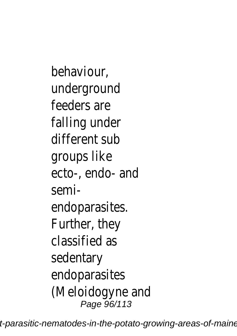behaviour, underground feeders are falling under different sub groups like ecto-, endo- and semiendoparasites. Further, they classified as sedentary endoparasites (Meloidogyne and Page 96/113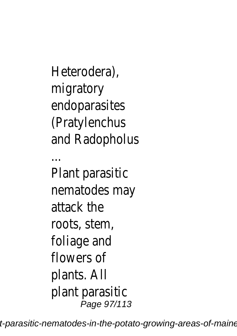Heterodera), migratory endoparasites (Pratylenchus and Radopholus ... Plant parasitic nematodes may attack the

roots, stem, foliage and flowers of plants. All plant parasitic Page 97/113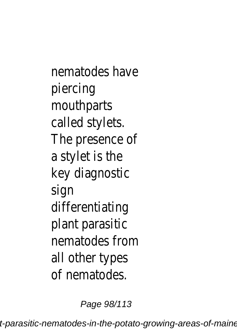nematodes have piercing mouthparts called stylets. The presence of a stylet is the key diagnostic sign differentiating plant parasitic nematodes from all other types of nematodes.

Page 98/113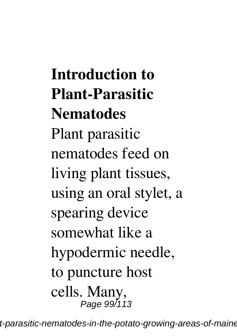**Introduction to Plant-Parasitic Nematodes** Plant parasitic nematodes feed on living plant tissues, using an oral stylet, a spearing device somewhat like a hypodermic needle, to puncture host cells. Many, Page 99/113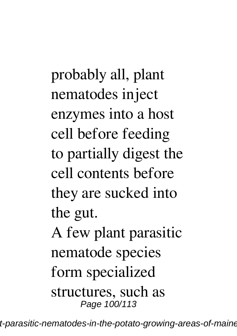probably all, plant nematodes inject enzymes into a host cell before feeding to partially digest the cell contents before they are sucked into the gut.

A few plant parasitic nematode species form specialized

structures, such as Page 100/113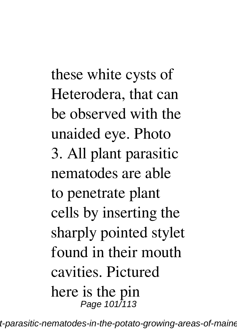these white cysts of Heterodera, that can be observed with the unaided eye. Photo 3. All plant parasitic nematodes are able to penetrate plant cells by inserting the sharply pointed stylet found in their mouth cavities. Pictured here is the pin Page 101/113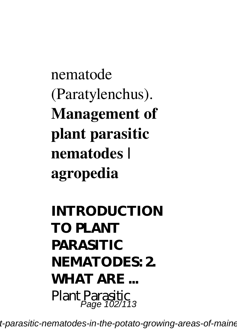# nematode (Paratylenchus). **Management of plant parasitic nematodes | agropedia**

## **INTRODUCTION TO PLANT PARASITIC NEMATODES: 2. WHAT ARE ...** Plant Parasitic<br>Page 102/113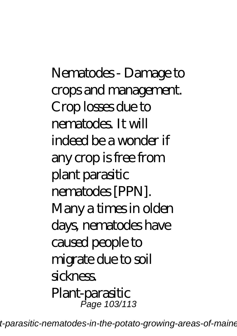Nematodes - Damage to crops and management. Crop losses due to nematodes. It will indeed be a wonder if any crop is free from plant parasitic nematodes [PPN]. Many a times in olden days, nematodes have caused people to migrate due to soil sickness. Plant-parasitic Page 103/113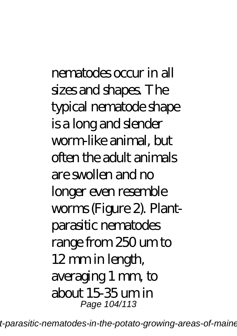nematodes occur in all sizes and shapes. The typical nematode shape is a long and slender worm-like animal, but often the adult animals are swollen and no longer even resemble worms (Figure 2). Plantparasitic nematodes range from 250 um to 12 mm in length, averaging 1 mm, to about 15-35 um in Page 104/113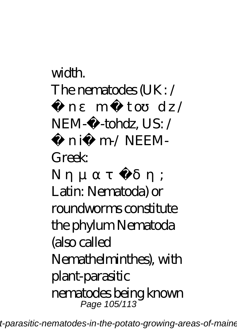### width. The nematodes (UK: /  $n$  m to  $dz/$ NEM-ctohdz, US: / ni m/NEEM-Greek Νηματώδη; Latin: Nematoda) or roundworms constitute the phylum Nematoda (also called Nemathelminthes), with plant-parasitic nematodes being known Page 105/113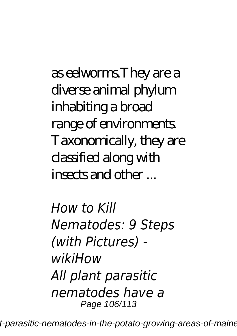as eelworms.They are a diverse animal phylum inhabiting a broad range of environments. Taxonomically, they are classified along with insects and other ...

*How to Kill Nematodes: 9 Steps (with Pictures) wikiHow All plant parasitic nematodes have a* Page 106/113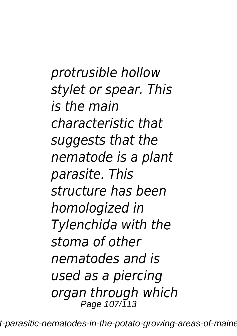*protrusible hollow stylet or spear. This is the main characteristic that suggests that the nematode is a plant parasite. This structure has been homologized in Tylenchida with the stoma of other nematodes and is used as a piercing organ through which* Page 107/113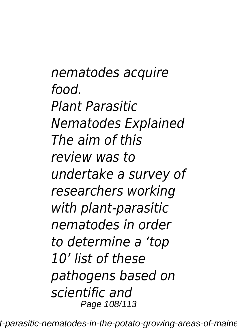*nematodes acquire food. Plant Parasitic Nematodes Explained The aim of this review was to undertake a survey of researchers working with plant‐parasitic nematodes in order to determine a 'top 10' list of these pathogens based on scientific and* Page 108/113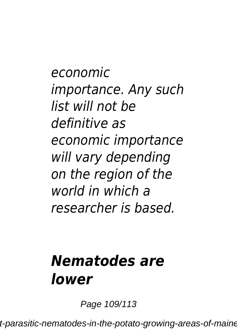*economic importance. Any such list will not be definitive as economic importance will vary depending on the region of the world in which a researcher is based.*

## *Nematodes are lower*

Page 109/113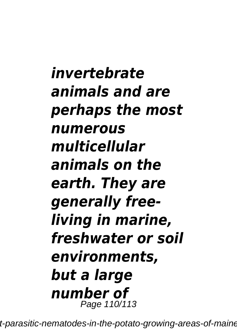*invertebrate animals and are perhaps the most numerous multicellular animals on the earth. They are generally freeliving in marine, freshwater or soil environments, but a large number of* Page 110/113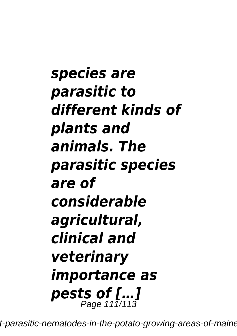*species are parasitic to different kinds of plants and animals. The parasitic species are of considerable agricultural, clinical and veterinary importance as pests of […]* Page 111/113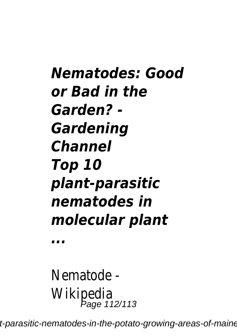*Nematodes: Good or Bad in the Garden? - Gardening Channel Top 10 plant‐parasitic nematodes in molecular plant*

*...*

Nematode - Wikipedia Page 112/113